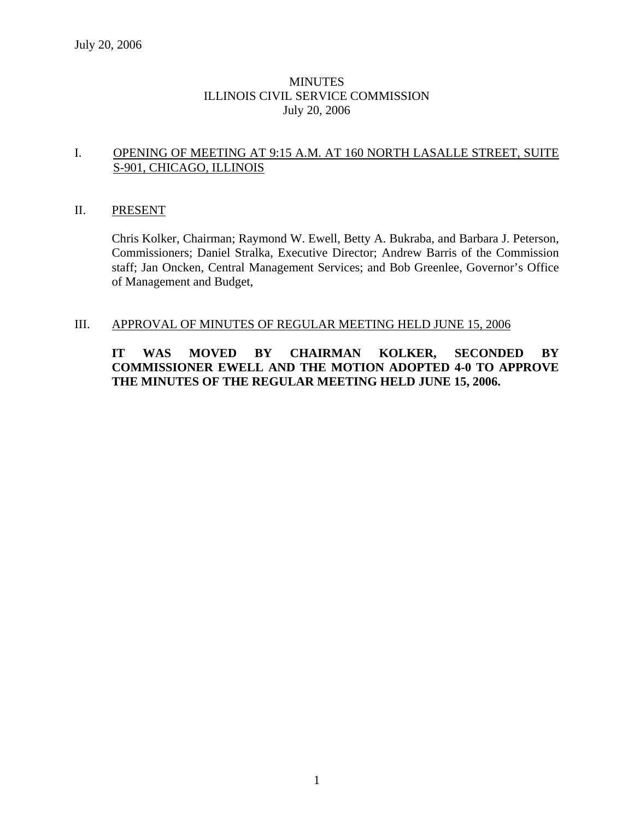## **MINUTES** ILLINOIS CIVIL SERVICE COMMISSION July 20, 2006

### I. OPENING OF MEETING AT 9:15 A.M. AT 160 NORTH LASALLE STREET, SUITE S-901, CHICAGO, ILLINOIS

### II. PRESENT

Chris Kolker, Chairman; Raymond W. Ewell, Betty A. Bukraba, and Barbara J. Peterson, Commissioners; Daniel Stralka, Executive Director; Andrew Barris of the Commission staff; Jan Oncken, Central Management Services; and Bob Greenlee, Governor's Office of Management and Budget,

### III. APPROVAL OF MINUTES OF REGULAR MEETING HELD JUNE 15, 2006

# **IT WAS MOVED BY CHAIRMAN KOLKER, SECONDED BY COMMISSIONER EWELL AND THE MOTION ADOPTED 4-0 TO APPROVE THE MINUTES OF THE REGULAR MEETING HELD JUNE 15, 2006.**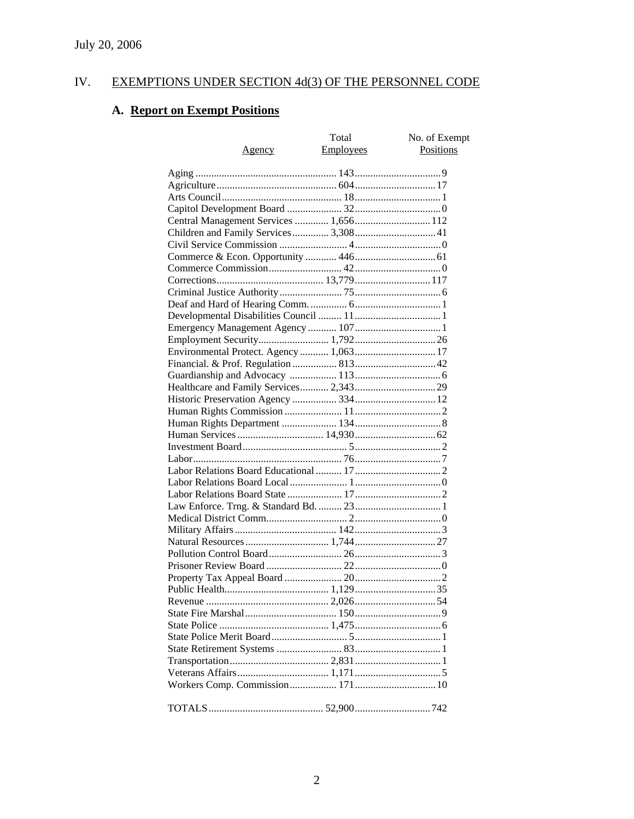# IV. EXEMPTIONS UNDER SECTION 4d(3) OF THE PERSONNEL CODE

# **A. Report on Exempt Positions**

|                                         | Total            | No. of Exempt |
|-----------------------------------------|------------------|---------------|
| <u>Agency</u>                           | <b>Employees</b> | Positions     |
|                                         |                  |               |
|                                         |                  |               |
|                                         |                  |               |
|                                         |                  |               |
| Central Management Services  1,656 112  |                  |               |
| Children and Family Services 3,308 41   |                  |               |
|                                         |                  |               |
|                                         |                  |               |
|                                         |                  |               |
|                                         |                  |               |
|                                         |                  |               |
|                                         |                  |               |
|                                         |                  |               |
|                                         |                  |               |
|                                         |                  |               |
|                                         |                  |               |
| Environmental Protect. Agency  1,063 17 |                  |               |
|                                         |                  |               |
|                                         |                  |               |
| Healthcare and Family Services 2,343 29 |                  |               |
|                                         |                  |               |
|                                         |                  |               |
|                                         |                  |               |
|                                         |                  |               |
|                                         |                  |               |
|                                         |                  |               |
|                                         |                  |               |
|                                         |                  |               |
|                                         |                  |               |
|                                         |                  |               |
|                                         |                  |               |
|                                         |                  |               |
|                                         |                  |               |
|                                         |                  |               |
|                                         |                  |               |
|                                         |                  |               |
|                                         |                  |               |
|                                         |                  |               |
|                                         |                  |               |
|                                         |                  |               |
|                                         |                  |               |
|                                         |                  |               |
|                                         |                  |               |
|                                         |                  |               |
|                                         |                  |               |
|                                         |                  |               |
|                                         |                  |               |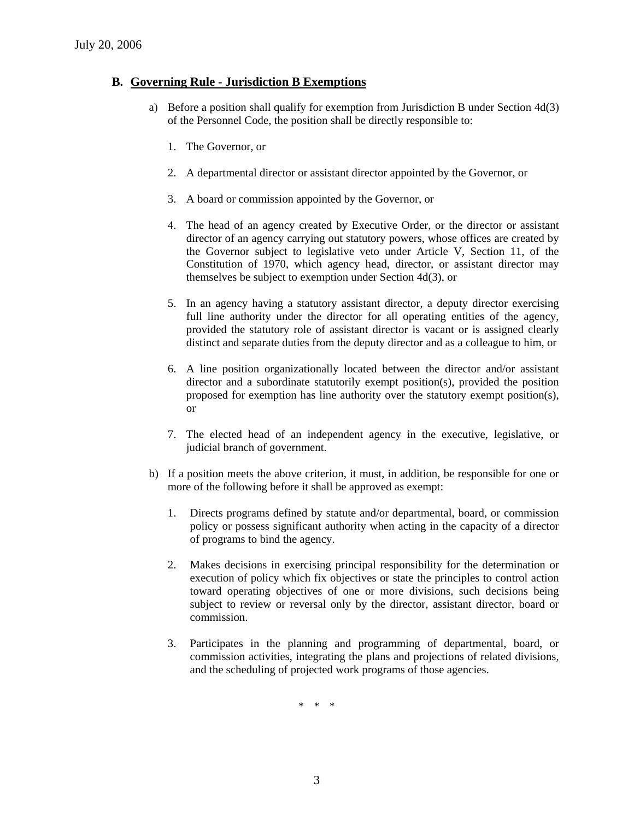#### **B. Governing Rule - Jurisdiction B Exemptions**

- a) Before a position shall qualify for exemption from Jurisdiction B under Section 4d(3) of the Personnel Code, the position shall be directly responsible to:
	- 1. The Governor, or
	- 2. A departmental director or assistant director appointed by the Governor, or
	- 3. A board or commission appointed by the Governor, or
	- 4. The head of an agency created by Executive Order, or the director or assistant director of an agency carrying out statutory powers, whose offices are created by the Governor subject to legislative veto under Article V, Section 11, of the Constitution of 1970, which agency head, director, or assistant director may themselves be subject to exemption under Section 4d(3), or
	- 5. In an agency having a statutory assistant director, a deputy director exercising full line authority under the director for all operating entities of the agency, provided the statutory role of assistant director is vacant or is assigned clearly distinct and separate duties from the deputy director and as a colleague to him, or
	- 6. A line position organizationally located between the director and/or assistant director and a subordinate statutorily exempt position(s), provided the position proposed for exemption has line authority over the statutory exempt position(s), or
	- 7. The elected head of an independent agency in the executive, legislative, or judicial branch of government.
- b) If a position meets the above criterion, it must, in addition, be responsible for one or more of the following before it shall be approved as exempt:
	- 1. Directs programs defined by statute and/or departmental, board, or commission policy or possess significant authority when acting in the capacity of a director of programs to bind the agency.
	- 2. Makes decisions in exercising principal responsibility for the determination or execution of policy which fix objectives or state the principles to control action toward operating objectives of one or more divisions, such decisions being subject to review or reversal only by the director, assistant director, board or commission.
	- 3. Participates in the planning and programming of departmental, board, or commission activities, integrating the plans and projections of related divisions, and the scheduling of projected work programs of those agencies.

\* \* \*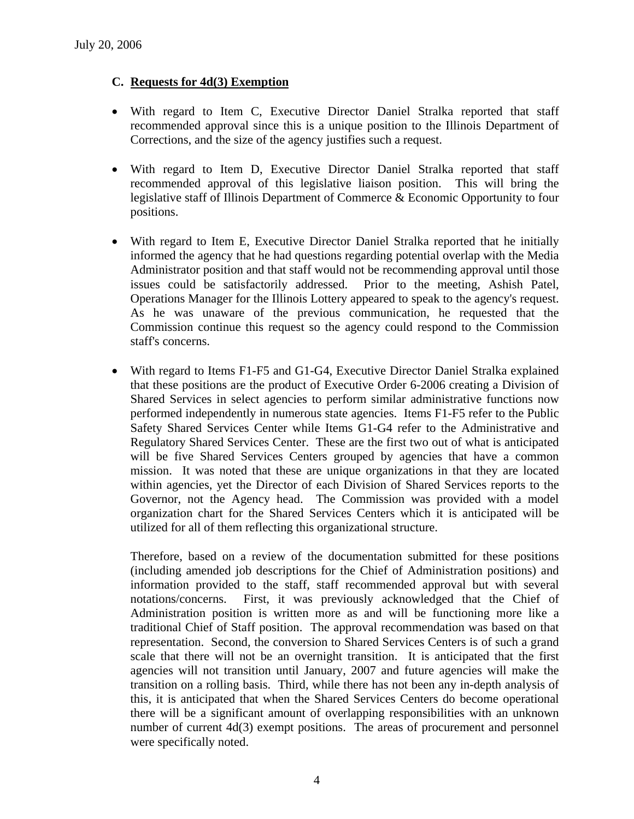## **C. Requests for 4d(3) Exemption**

- With regard to Item C, Executive Director Daniel Stralka reported that staff recommended approval since this is a unique position to the Illinois Department of Corrections, and the size of the agency justifies such a request.
- With regard to Item D, Executive Director Daniel Stralka reported that staff recommended approval of this legislative liaison position. This will bring the legislative staff of Illinois Department of Commerce & Economic Opportunity to four positions.
- With regard to Item E, Executive Director Daniel Stralka reported that he initially informed the agency that he had questions regarding potential overlap with the Media Administrator position and that staff would not be recommending approval until those issues could be satisfactorily addressed. Prior to the meeting, Ashish Patel, Operations Manager for the Illinois Lottery appeared to speak to the agency's request. As he was unaware of the previous communication, he requested that the Commission continue this request so the agency could respond to the Commission staff's concerns.
- With regard to Items F1-F5 and G1-G4, Executive Director Daniel Stralka explained that these positions are the product of Executive Order 6-2006 creating a Division of Shared Services in select agencies to perform similar administrative functions now performed independently in numerous state agencies. Items F1-F5 refer to the Public Safety Shared Services Center while Items G1-G4 refer to the Administrative and Regulatory Shared Services Center. These are the first two out of what is anticipated will be five Shared Services Centers grouped by agencies that have a common mission. It was noted that these are unique organizations in that they are located within agencies, yet the Director of each Division of Shared Services reports to the Governor, not the Agency head. The Commission was provided with a model organization chart for the Shared Services Centers which it is anticipated will be utilized for all of them reflecting this organizational structure.

Therefore, based on a review of the documentation submitted for these positions (including amended job descriptions for the Chief of Administration positions) and information provided to the staff, staff recommended approval but with several notations/concerns. First, it was previously acknowledged that the Chief of Administration position is written more as and will be functioning more like a traditional Chief of Staff position. The approval recommendation was based on that representation. Second, the conversion to Shared Services Centers is of such a grand scale that there will not be an overnight transition. It is anticipated that the first agencies will not transition until January, 2007 and future agencies will make the transition on a rolling basis. Third, while there has not been any in-depth analysis of this, it is anticipated that when the Shared Services Centers do become operational there will be a significant amount of overlapping responsibilities with an unknown number of current 4d(3) exempt positions. The areas of procurement and personnel were specifically noted.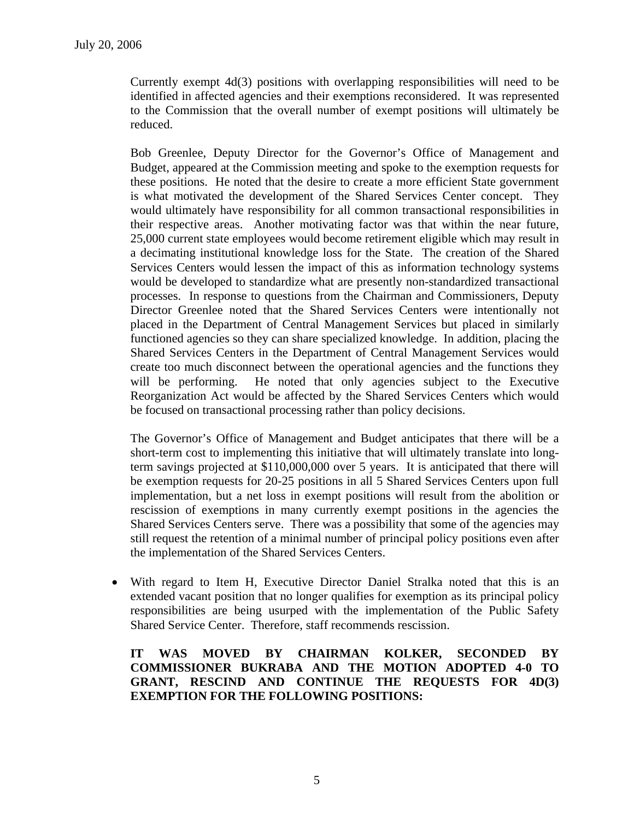Currently exempt 4d(3) positions with overlapping responsibilities will need to be identified in affected agencies and their exemptions reconsidered. It was represented to the Commission that the overall number of exempt positions will ultimately be reduced.

Bob Greenlee, Deputy Director for the Governor's Office of Management and Budget, appeared at the Commission meeting and spoke to the exemption requests for these positions. He noted that the desire to create a more efficient State government is what motivated the development of the Shared Services Center concept. They would ultimately have responsibility for all common transactional responsibilities in their respective areas. Another motivating factor was that within the near future, 25,000 current state employees would become retirement eligible which may result in a decimating institutional knowledge loss for the State. The creation of the Shared Services Centers would lessen the impact of this as information technology systems would be developed to standardize what are presently non-standardized transactional processes. In response to questions from the Chairman and Commissioners, Deputy Director Greenlee noted that the Shared Services Centers were intentionally not placed in the Department of Central Management Services but placed in similarly functioned agencies so they can share specialized knowledge. In addition, placing the Shared Services Centers in the Department of Central Management Services would create too much disconnect between the operational agencies and the functions they will be performing. He noted that only agencies subject to the Executive Reorganization Act would be affected by the Shared Services Centers which would be focused on transactional processing rather than policy decisions.

The Governor's Office of Management and Budget anticipates that there will be a short-term cost to implementing this initiative that will ultimately translate into longterm savings projected at \$110,000,000 over 5 years. It is anticipated that there will be exemption requests for 20-25 positions in all 5 Shared Services Centers upon full implementation, but a net loss in exempt positions will result from the abolition or rescission of exemptions in many currently exempt positions in the agencies the Shared Services Centers serve. There was a possibility that some of the agencies may still request the retention of a minimal number of principal policy positions even after the implementation of the Shared Services Centers.

• With regard to Item H, Executive Director Daniel Stralka noted that this is an extended vacant position that no longer qualifies for exemption as its principal policy responsibilities are being usurped with the implementation of the Public Safety Shared Service Center. Therefore, staff recommends rescission.

**IT WAS MOVED BY CHAIRMAN KOLKER, SECONDED BY COMMISSIONER BUKRABA AND THE MOTION ADOPTED 4-0 TO GRANT, RESCIND AND CONTINUE THE REQUESTS FOR 4D(3) EXEMPTION FOR THE FOLLOWING POSITIONS:**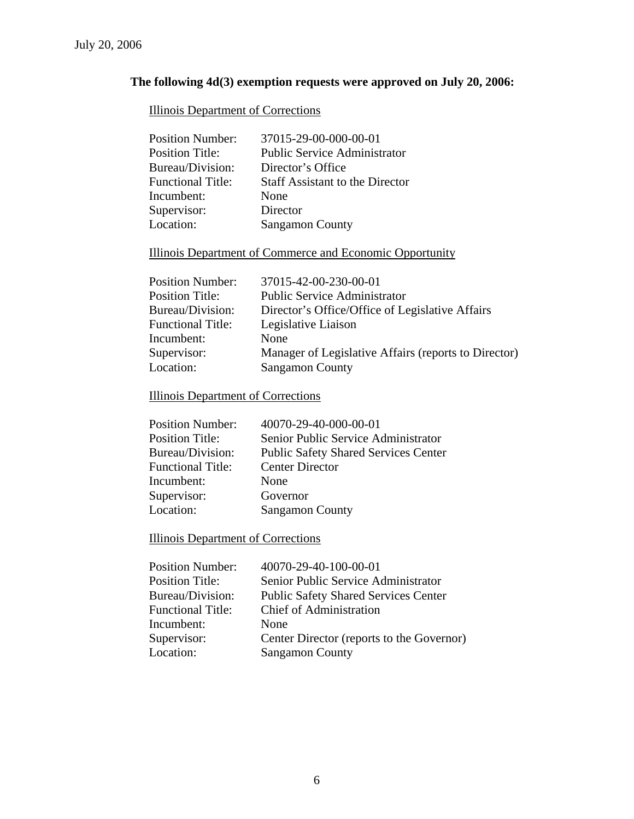# **The following 4d(3) exemption requests were approved on July 20, 2006:**

# Illinois Department of Corrections

| <b>Position Number:</b>  | 37015-29-00-000-00-01                  |
|--------------------------|----------------------------------------|
| <b>Position Title:</b>   | <b>Public Service Administrator</b>    |
| Bureau/Division:         | Director's Office                      |
| <b>Functional Title:</b> | <b>Staff Assistant to the Director</b> |
| Incumbent:               | None                                   |
| Supervisor:              | Director                               |
| Location:                | <b>Sangamon County</b>                 |

# Illinois Department of Commerce and Economic Opportunity

| <b>Position Number:</b>  | 37015-42-00-230-00-01                                |
|--------------------------|------------------------------------------------------|
| <b>Position Title:</b>   | <b>Public Service Administrator</b>                  |
| Bureau/Division:         | Director's Office/Office of Legislative Affairs      |
| <b>Functional Title:</b> | Legislative Liaison                                  |
| Incumbent:               | None                                                 |
| Supervisor:              | Manager of Legislative Affairs (reports to Director) |
| Location:                | <b>Sangamon County</b>                               |
|                          |                                                      |

# Illinois Department of Corrections

| <b>Position Number:</b>  | 40070-29-40-000-00-01                       |
|--------------------------|---------------------------------------------|
| <b>Position Title:</b>   | Senior Public Service Administrator         |
| Bureau/Division:         | <b>Public Safety Shared Services Center</b> |
| <b>Functional Title:</b> | <b>Center Director</b>                      |
| Incumbent:               | None                                        |
| Supervisor:              | Governor                                    |
| Location:                | <b>Sangamon County</b>                      |
|                          |                                             |

# Illinois Department of Corrections

| <b>Position Number:</b>  | 40070-29-40-100-00-01                       |
|--------------------------|---------------------------------------------|
| <b>Position Title:</b>   | Senior Public Service Administrator         |
| Bureau/Division:         | <b>Public Safety Shared Services Center</b> |
| <b>Functional Title:</b> | <b>Chief of Administration</b>              |
| Incumbent:               | None                                        |
| Supervisor:              | Center Director (reports to the Governor)   |
| Location:                | <b>Sangamon County</b>                      |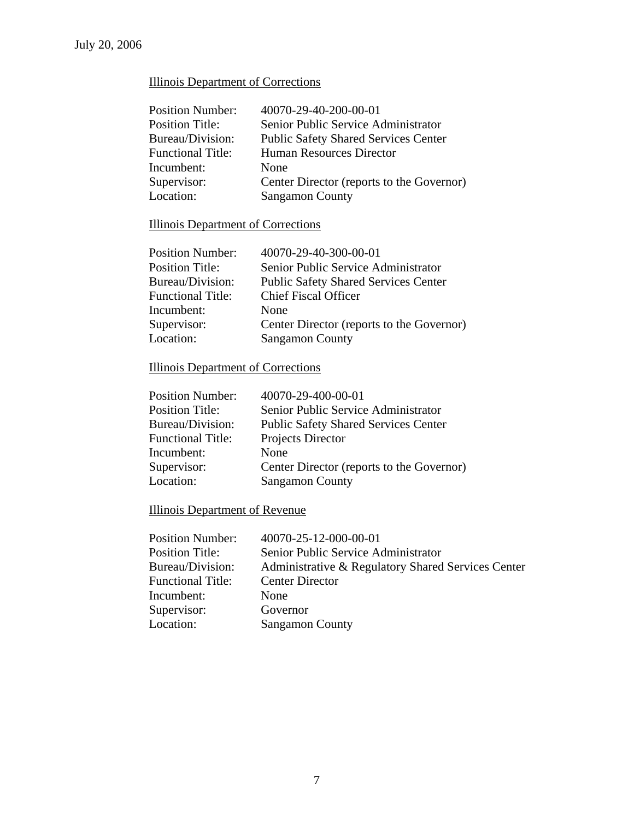# Illinois Department of Corrections

| <b>Position Number:</b>  | 40070-29-40-200-00-01                       |
|--------------------------|---------------------------------------------|
| <b>Position Title:</b>   | Senior Public Service Administrator         |
| Bureau/Division:         | <b>Public Safety Shared Services Center</b> |
| <b>Functional Title:</b> | Human Resources Director                    |
| Incumbent:               | None                                        |
| Supervisor:              | Center Director (reports to the Governor)   |
| Location:                | <b>Sangamon County</b>                      |
|                          |                                             |

# Illinois Department of Corrections

| Center Director (reports to the Governor)   |
|---------------------------------------------|
|                                             |
| <b>Public Safety Shared Services Center</b> |

# Illinois Department of Corrections

| 40070-29-400-00-01                          |
|---------------------------------------------|
| Senior Public Service Administrator         |
| <b>Public Safety Shared Services Center</b> |
| Projects Director                           |
| None                                        |
| Center Director (reports to the Governor)   |
| <b>Sangamon County</b>                      |
|                                             |

# Illinois Department of Revenue

| <b>Position Number:</b>  | 40070-25-12-000-00-01                              |
|--------------------------|----------------------------------------------------|
| <b>Position Title:</b>   | Senior Public Service Administrator                |
| Bureau/Division:         | Administrative & Regulatory Shared Services Center |
| <b>Functional Title:</b> | <b>Center Director</b>                             |
| Incumbent:               | <b>None</b>                                        |
| Supervisor:              | Governor                                           |
| Location:                | <b>Sangamon County</b>                             |
|                          |                                                    |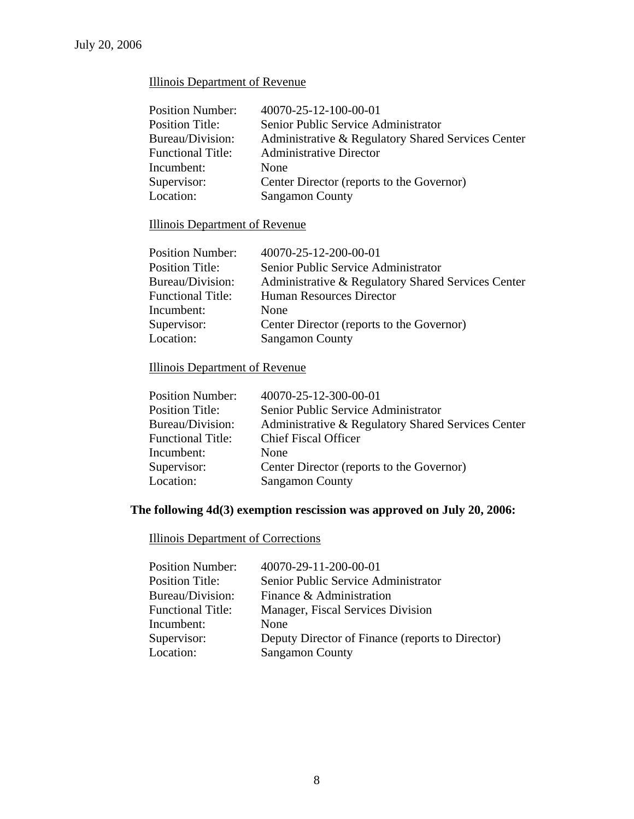# Illinois Department of Revenue

| <b>Position Number:</b>  | 40070-25-12-100-00-01                              |
|--------------------------|----------------------------------------------------|
| <b>Position Title:</b>   | Senior Public Service Administrator                |
| Bureau/Division:         | Administrative & Regulatory Shared Services Center |
| <b>Functional Title:</b> | <b>Administrative Director</b>                     |
| Incumbent:               | None                                               |
| Supervisor:              | Center Director (reports to the Governor)          |
| Location:                | <b>Sangamon County</b>                             |

# Illinois Department of Revenue

| <b>Position Number:</b>  | 40070-25-12-200-00-01                              |
|--------------------------|----------------------------------------------------|
| <b>Position Title:</b>   | Senior Public Service Administrator                |
| Bureau/Division:         | Administrative & Regulatory Shared Services Center |
| <b>Functional Title:</b> | Human Resources Director                           |
| Incumbent:               | None                                               |
| Supervisor:              | Center Director (reports to the Governor)          |
| Location:                | <b>Sangamon County</b>                             |
|                          |                                                    |

# Illinois Department of Revenue

| <b>Position Number:</b>  | 40070-25-12-300-00-01                              |
|--------------------------|----------------------------------------------------|
| <b>Position Title:</b>   | Senior Public Service Administrator                |
| Bureau/Division:         | Administrative & Regulatory Shared Services Center |
| <b>Functional Title:</b> | <b>Chief Fiscal Officer</b>                        |
| Incumbent:               | None                                               |
| Supervisor:              | Center Director (reports to the Governor)          |
| Location:                | <b>Sangamon County</b>                             |
|                          |                                                    |

# **The following 4d(3) exemption rescission was approved on July 20, 2006:**

# Illinois Department of Corrections

| <b>Position Number:</b>  | 40070-29-11-200-00-01                            |
|--------------------------|--------------------------------------------------|
| <b>Position Title:</b>   | Senior Public Service Administrator              |
| Bureau/Division:         | Finance & Administration                         |
| <b>Functional Title:</b> | Manager, Fiscal Services Division                |
| Incumbent:               | None                                             |
| Supervisor:              | Deputy Director of Finance (reports to Director) |
| Location:                | <b>Sangamon County</b>                           |
|                          |                                                  |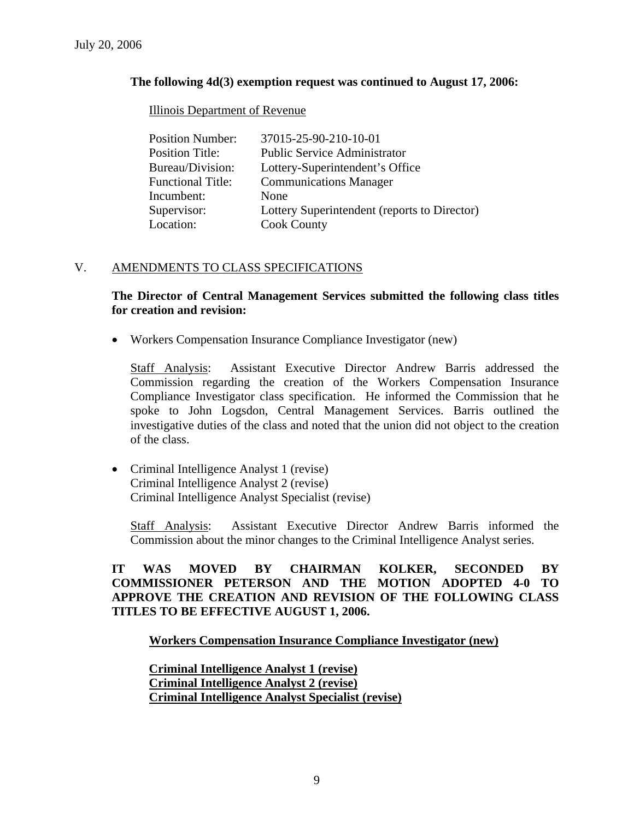### **The following 4d(3) exemption request was continued to August 17, 2006:**

#### Illinois Department of Revenue

| <b>Position Number:</b>  | 37015-25-90-210-10-01                        |
|--------------------------|----------------------------------------------|
| <b>Position Title:</b>   | <b>Public Service Administrator</b>          |
| Bureau/Division:         | Lottery-Superintendent's Office              |
| <b>Functional Title:</b> | <b>Communications Manager</b>                |
| Incumbent:               | None                                         |
| Supervisor:              | Lottery Superintendent (reports to Director) |
| Location:                | <b>Cook County</b>                           |

## V. AMENDMENTS TO CLASS SPECIFICATIONS

### **The Director of Central Management Services submitted the following class titles for creation and revision:**

• Workers Compensation Insurance Compliance Investigator (new)

Staff Analysis: Assistant Executive Director Andrew Barris addressed the Commission regarding the creation of the Workers Compensation Insurance Compliance Investigator class specification. He informed the Commission that he spoke to John Logsdon, Central Management Services. Barris outlined the investigative duties of the class and noted that the union did not object to the creation of the class.

• Criminal Intelligence Analyst 1 (revise) Criminal Intelligence Analyst 2 (revise) Criminal Intelligence Analyst Specialist (revise)

Staff Analysis: Assistant Executive Director Andrew Barris informed the Commission about the minor changes to the Criminal Intelligence Analyst series.

## **IT WAS MOVED BY CHAIRMAN KOLKER, SECONDED BY COMMISSIONER PETERSON AND THE MOTION ADOPTED 4-0 TO APPROVE THE CREATION AND REVISION OF THE FOLLOWING CLASS TITLES TO BE EFFECTIVE AUGUST 1, 2006.**

#### **Workers Compensation Insurance Compliance Investigator (new)**

**Criminal Intelligence Analyst 1 (revise) Criminal Intelligence Analyst 2 (revise) Criminal Intelligence Analyst Specialist (revise)**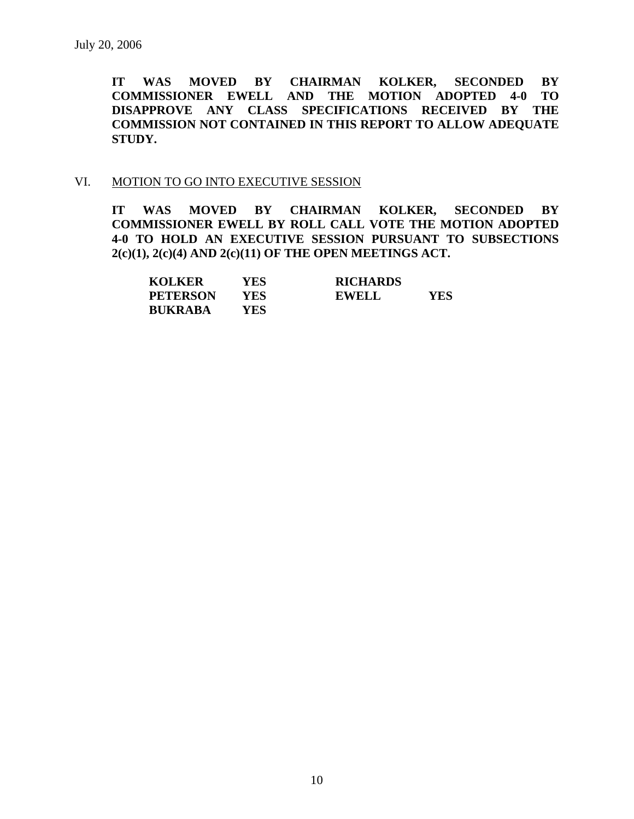**IT WAS MOVED BY CHAIRMAN KOLKER, SECONDED BY COMMISSIONER EWELL AND THE MOTION ADOPTED 4-0 TO DISAPPROVE ANY CLASS SPECIFICATIONS RECEIVED BY THE COMMISSION NOT CONTAINED IN THIS REPORT TO ALLOW ADEQUATE STUDY.** 

#### VI. MOTION TO GO INTO EXECUTIVE SESSION

**IT WAS MOVED BY CHAIRMAN KOLKER, SECONDED BY COMMISSIONER EWELL BY ROLL CALL VOTE THE MOTION ADOPTED 4-0 TO HOLD AN EXECUTIVE SESSION PURSUANT TO SUBSECTIONS 2(c)(1), 2(c)(4) AND 2(c)(11) OF THE OPEN MEETINGS ACT.** 

| <b>KOLKER</b>   | YES | <b>RICHARDS</b> |     |
|-----------------|-----|-----------------|-----|
| <b>PETERSON</b> | YES | <b>EWELL</b>    | YES |
| <b>BUKRABA</b>  | YES |                 |     |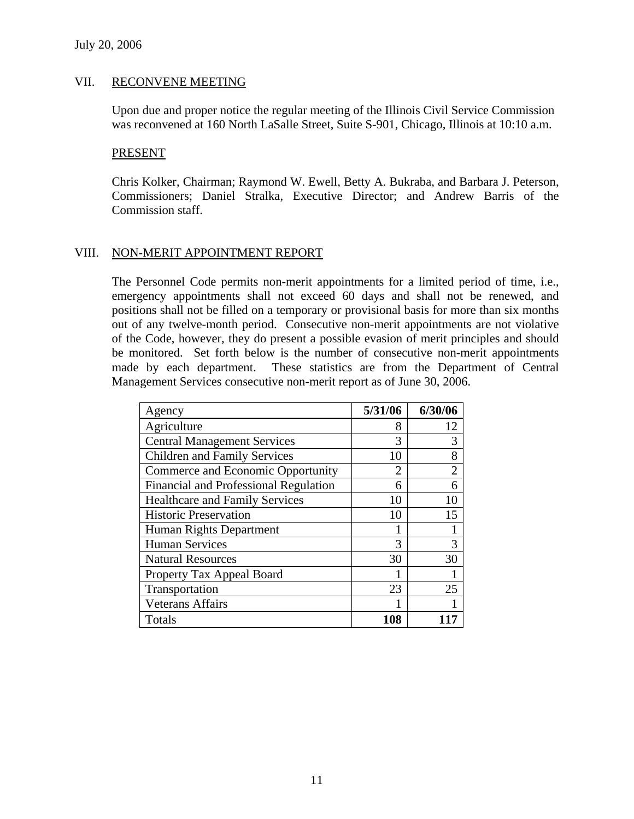#### VII. RECONVENE MEETING

Upon due and proper notice the regular meeting of the Illinois Civil Service Commission was reconvened at 160 North LaSalle Street, Suite S-901, Chicago, Illinois at 10:10 a.m.

#### PRESENT

Chris Kolker, Chairman; Raymond W. Ewell, Betty A. Bukraba, and Barbara J. Peterson, Commissioners; Daniel Stralka, Executive Director; and Andrew Barris of the Commission staff.

#### VIII. NON-MERIT APPOINTMENT REPORT

The Personnel Code permits non-merit appointments for a limited period of time, i.e., emergency appointments shall not exceed 60 days and shall not be renewed, and positions shall not be filled on a temporary or provisional basis for more than six months out of any twelve-month period. Consecutive non-merit appointments are not violative of the Code, however, they do present a possible evasion of merit principles and should be monitored. Set forth below is the number of consecutive non-merit appointments made by each department. These statistics are from the Department of Central Management Services consecutive non-merit report as of June 30, 2006.

| Agency                                       | 5/31/06 | 6/30/06        |
|----------------------------------------------|---------|----------------|
| Agriculture                                  | 8       | 12             |
| <b>Central Management Services</b>           | 3       | 3              |
| <b>Children and Family Services</b>          | 10      | 8              |
| Commerce and Economic Opportunity            | 2       | $\overline{2}$ |
| <b>Financial and Professional Regulation</b> | 6       | 6              |
| <b>Healthcare and Family Services</b>        | 10      | 10             |
| <b>Historic Preservation</b>                 | 10      | 15             |
| Human Rights Department                      |         |                |
| <b>Human Services</b>                        | 3       | 3              |
| <b>Natural Resources</b>                     | 30      | 30             |
| Property Tax Appeal Board                    |         |                |
| Transportation                               | 23      | 25             |
| <b>Veterans Affairs</b>                      |         |                |
| Totals                                       | 108     |                |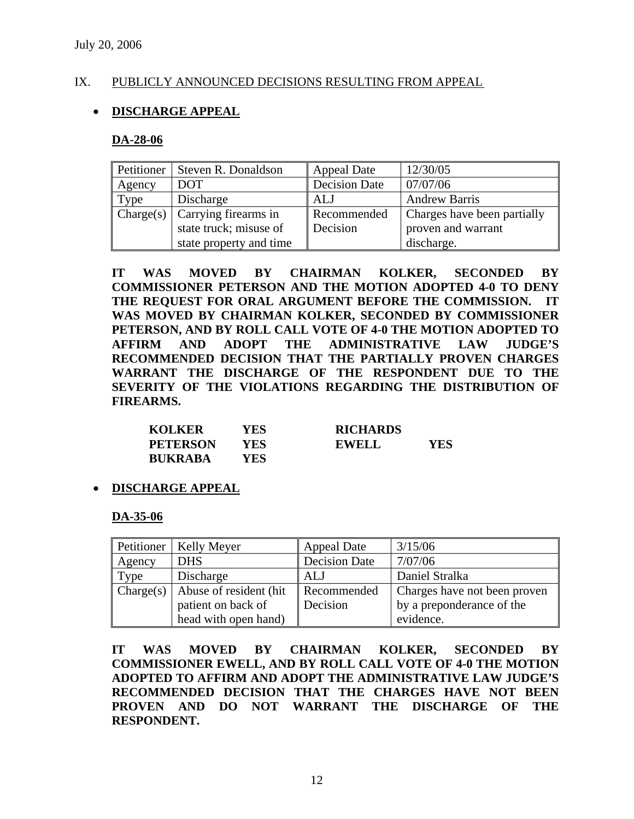#### IX. PUBLICLY ANNOUNCED DECISIONS RESULTING FROM APPEAL

## • **DISCHARGE APPEAL**

#### **DA-28-06**

| <b>Petitioner</b> | Steven R. Donaldson                            | <b>Appeal Date</b>   | 12/30/05                    |
|-------------------|------------------------------------------------|----------------------|-----------------------------|
| Agency            | DOT                                            | <b>Decision Date</b> | 07/07/06                    |
| Type              | Discharge                                      | ALJ                  | <b>Andrew Barris</b>        |
|                   | $\vert$ Charge(s) $\vert$ Carrying firearms in | Recommended          | Charges have been partially |
|                   | state truck; misuse of                         | Decision             | proven and warrant          |
|                   | state property and time                        |                      | discharge.                  |

**IT WAS MOVED BY CHAIRMAN KOLKER, SECONDED BY COMMISSIONER PETERSON AND THE MOTION ADOPTED 4-0 TO DENY THE REQUEST FOR ORAL ARGUMENT BEFORE THE COMMISSION. IT WAS MOVED BY CHAIRMAN KOLKER, SECONDED BY COMMISSIONER PETERSON, AND BY ROLL CALL VOTE OF 4-0 THE MOTION ADOPTED TO AFFIRM AND ADOPT THE ADMINISTRATIVE LAW JUDGE'S RECOMMENDED DECISION THAT THE PARTIALLY PROVEN CHARGES WARRANT THE DISCHARGE OF THE RESPONDENT DUE TO THE SEVERITY OF THE VIOLATIONS REGARDING THE DISTRIBUTION OF FIREARMS.** 

| <b>KOLKER</b>   | YES  | <b>RICHARDS</b> |     |
|-----------------|------|-----------------|-----|
| <b>PETERSON</b> | YES. | <b>EWELL</b>    | YES |
| <b>BUKRABA</b>  | YES. |                 |     |

• **DISCHARGE APPEAL**

#### **DA-35-06**

| Petitioner | Kelly Meyer            | <b>Appeal Date</b>   | 3/15/06                      |
|------------|------------------------|----------------------|------------------------------|
| Agency     | <b>DHS</b>             | <b>Decision Date</b> | 7/07/06                      |
| Type       | Discharge              | ALJ                  | Daniel Stralka               |
| Change(s)  | Abuse of resident (hit | Recommended          | Charges have not been proven |
|            | patient on back of     | Decision             | by a preponderance of the    |
|            | head with open hand)   |                      | evidence.                    |

**IT WAS MOVED BY CHAIRMAN KOLKER, SECONDED BY COMMISSIONER EWELL, AND BY ROLL CALL VOTE OF 4-0 THE MOTION ADOPTED TO AFFIRM AND ADOPT THE ADMINISTRATIVE LAW JUDGE'S RECOMMENDED DECISION THAT THE CHARGES HAVE NOT BEEN PROVEN AND DO NOT WARRANT THE DISCHARGE OF THE RESPONDENT.**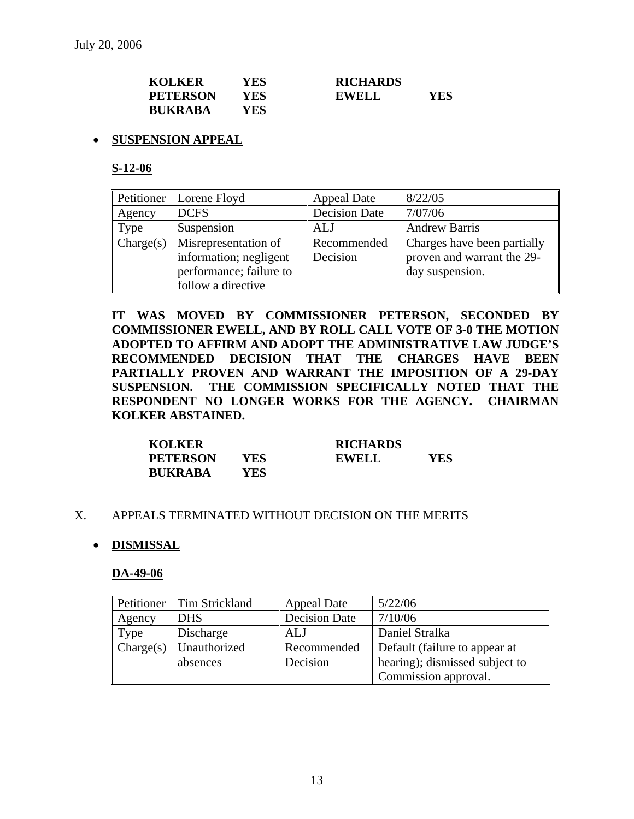| <b>KOLKER</b>   | YES | <b>RICHARDS</b> |     |
|-----------------|-----|-----------------|-----|
| <b>PETERSON</b> | YES | EWELL           | YES |
| <b>BUKRABA</b>  | YES |                 |     |

### • **SUSPENSION APPEAL**

**S-12-06**

| Petitioner | Lorene Floyd            | Appeal Date          | 8/22/05                     |
|------------|-------------------------|----------------------|-----------------------------|
| Agency     | <b>DCFS</b>             | <b>Decision Date</b> | 7/07/06                     |
| Type       | Suspension              | ALJ                  | <b>Andrew Barris</b>        |
| Change(s)  | Misrepresentation of    | Recommended          | Charges have been partially |
|            | information; negligent  | Decision             | proven and warrant the 29-  |
|            | performance; failure to |                      | day suspension.             |
|            | follow a directive      |                      |                             |

**IT WAS MOVED BY COMMISSIONER PETERSON, SECONDED BY COMMISSIONER EWELL, AND BY ROLL CALL VOTE OF 3-0 THE MOTION ADOPTED TO AFFIRM AND ADOPT THE ADMINISTRATIVE LAW JUDGE'S RECOMMENDED DECISION THAT THE CHARGES HAVE BEEN PARTIALLY PROVEN AND WARRANT THE IMPOSITION OF A 29-DAY SUSPENSION. THE COMMISSION SPECIFICALLY NOTED THAT THE RESPONDENT NO LONGER WORKS FOR THE AGENCY. CHAIRMAN KOLKER ABSTAINED.** 

| <b>KOLKER</b>   |      | <b>RICHARDS</b> |     |
|-----------------|------|-----------------|-----|
| <b>PETERSON</b> | YES  | <b>EWELL</b>    | YES |
| <b>BUKRABA</b>  | YES. |                 |     |

#### X. APPEALS TERMINATED WITHOUT DECISION ON THE MERITS

#### • **DISMISSAL**

#### **DA-49-06**

| Petitioner | Tim Strickland | <b>Appeal Date</b>   | 5/22/06                        |
|------------|----------------|----------------------|--------------------------------|
| Agency     | <b>DHS</b>     | <b>Decision Date</b> | 7/10/06                        |
| Type       | Discharge      | ALJ                  | Daniel Stralka                 |
| Change(s)  | Unauthorized   | Recommended          | Default (failure to appear at  |
|            | absences       | Decision             | hearing); dismissed subject to |
|            |                |                      | Commission approval.           |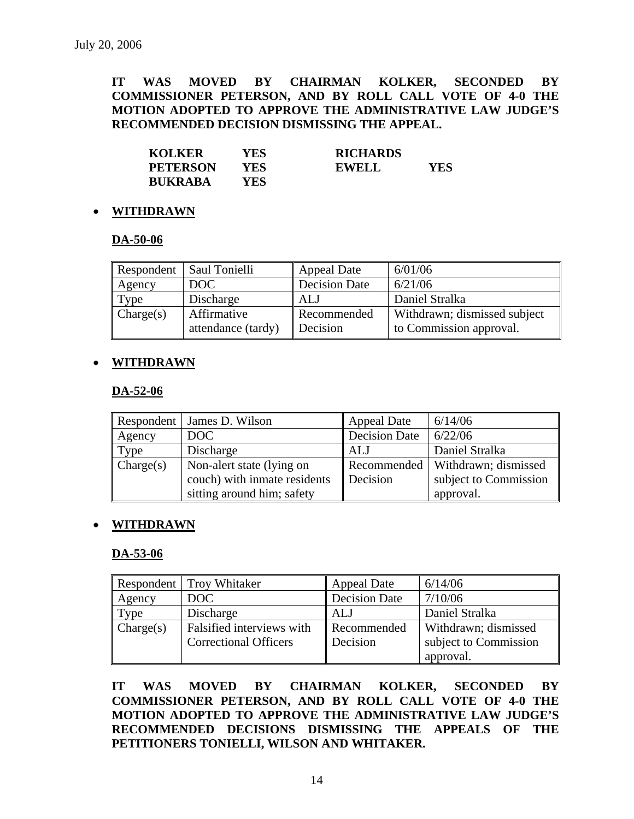**IT WAS MOVED BY CHAIRMAN KOLKER, SECONDED BY COMMISSIONER PETERSON, AND BY ROLL CALL VOTE OF 4-0 THE MOTION ADOPTED TO APPROVE THE ADMINISTRATIVE LAW JUDGE'S RECOMMENDED DECISION DISMISSING THE APPEAL.** 

| <b>KOLKER</b>   | YES  | <b>RICHARDS</b> |     |
|-----------------|------|-----------------|-----|
| <b>PETERSON</b> | YES  | EWELL           | YES |
| <b>BUKRABA</b>  | YES. |                 |     |

#### • **WITHDRAWN**

#### **DA-50-06**

| Respondent | Saul Tonielli      | <b>Appeal Date</b>   | 6/01/06                      |
|------------|--------------------|----------------------|------------------------------|
| Agency     | DOC                | <b>Decision Date</b> | 6/21/06                      |
| Type       | Discharge          | ALJ                  | Daniel Stralka               |
| Change(s)  | Affirmative        | Recommended          | Withdrawn; dismissed subject |
|            | attendance (tardy) | Decision             | to Commission approval.      |

### • **WITHDRAWN**

### **DA-52-06**

|           | Respondent   James D. Wilson | <b>Appeal Date</b>   | 6/14/06                            |
|-----------|------------------------------|----------------------|------------------------------------|
| Agency    | DOC                          | <b>Decision Date</b> | 6/22/06                            |
| Type      | Discharge                    | ALJ                  | Daniel Stralka                     |
| Change(s) | Non-alert state (lying on    |                      | Recommended   Withdrawn; dismissed |
|           | couch) with inmate residents | Decision             | subject to Commission              |
|           | sitting around him; safety   |                      | approval.                          |

#### • **WITHDRAWN**

#### **DA-53-06**

|           | <b>Respondent</b> Troy Whitaker | <b>Appeal Date</b>   | 6/14/06               |  |
|-----------|---------------------------------|----------------------|-----------------------|--|
| Agency    | DOC                             | <b>Decision Date</b> | 7/10/06               |  |
| Type      | Discharge                       | ALJ                  | Daniel Stralka        |  |
| Change(s) | Falsified interviews with       | Recommended          | Withdrawn; dismissed  |  |
|           | <b>Correctional Officers</b>    | Decision             | subject to Commission |  |
|           |                                 |                      | approval.             |  |

**IT WAS MOVED BY CHAIRMAN KOLKER, SECONDED BY COMMISSIONER PETERSON, AND BY ROLL CALL VOTE OF 4-0 THE MOTION ADOPTED TO APPROVE THE ADMINISTRATIVE LAW JUDGE'S RECOMMENDED DECISIONS DISMISSING THE APPEALS OF THE PETITIONERS TONIELLI, WILSON AND WHITAKER.**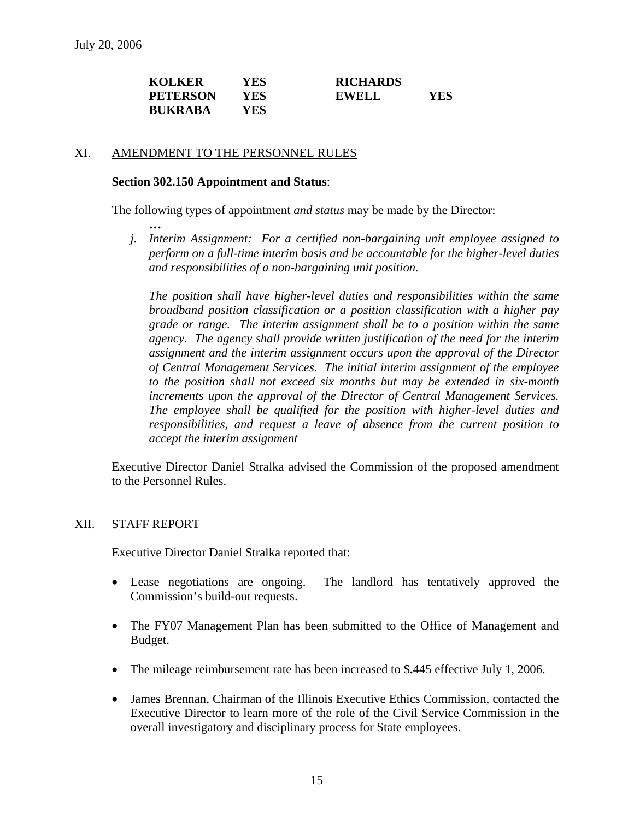| <b>KOLKER</b>   | YES  | <b>RICHARDS</b> |     |
|-----------------|------|-----------------|-----|
| <b>PETERSON</b> | YES. | EWELL           | YES |
| <b>BUKRABA</b>  | YES. |                 |     |

#### XI. AMENDMENT TO THE PERSONNEL RULES

#### **Section 302.150 Appointment and Status**:

The following types of appointment *and status* may be made by the Director:

 **…**  *j. Interim Assignment: For a certified non-bargaining unit employee assigned to perform on a full-time interim basis and be accountable for the higher-level duties and responsibilities of a non-bargaining unit position.* 

*The position shall have higher-level duties and responsibilities within the same broadband position classification or a position classification with a higher pay grade or range. The interim assignment shall be to a position within the same agency. The agency shall provide written justification of the need for the interim assignment and the interim assignment occurs upon the approval of the Director of Central Management Services. The initial interim assignment of the employee to the position shall not exceed six months but may be extended in six-month increments upon the approval of the Director of Central Management Services. The employee shall be qualified for the position with higher-level duties and responsibilities, and request a leave of absence from the current position to accept the interim assignment* 

Executive Director Daniel Stralka advised the Commission of the proposed amendment to the Personnel Rules.

#### XII. STAFF REPORT

Executive Director Daniel Stralka reported that:

- Lease negotiations are ongoing. The landlord has tentatively approved the Commission's build-out requests.
- The FY07 Management Plan has been submitted to the Office of Management and Budget.
- The mileage reimbursement rate has been increased to \$**.**445 effective July 1, 2006.
- James Brennan, Chairman of the Illinois Executive Ethics Commission, contacted the Executive Director to learn more of the role of the Civil Service Commission in the overall investigatory and disciplinary process for State employees.